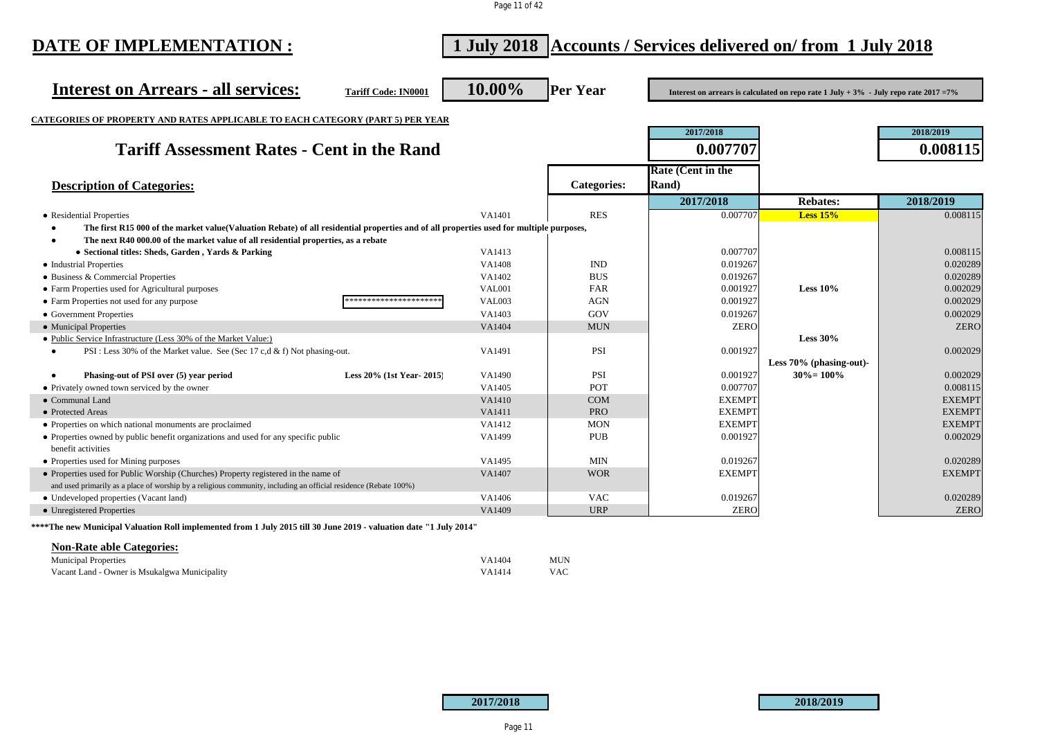Page 11 of 42

| DATE OF IMPLEMENTATION :                                                                                                                | 1 July 2018 Accounts / Services delivered on/from 1 July 2018 |                  |                    |                          |                                                                                                     |                      |
|-----------------------------------------------------------------------------------------------------------------------------------------|---------------------------------------------------------------|------------------|--------------------|--------------------------|-----------------------------------------------------------------------------------------------------|----------------------|
| <b>Interest on Arrears - all services:</b>                                                                                              | <b>Tariff Code: IN0001</b>                                    | 10.00%           | <b>Per Year</b>    |                          | Interest on arrears is calculated on repo rate $1 \text{ July } +3\%$ - July repo rate $2017 = 7\%$ |                      |
| <b>CATEGORIES OF PROPERTY AND RATES APPLICABLE TO EACH CATEGORY (PART 5) PER YEAR</b>                                                   |                                                               |                  |                    |                          |                                                                                                     |                      |
|                                                                                                                                         |                                                               |                  |                    | 2017/2018                |                                                                                                     | 2018/2019            |
| <b>Tariff Assessment Rates - Cent in the Rand</b>                                                                                       |                                                               |                  |                    | 0.007707                 |                                                                                                     | 0.008115             |
|                                                                                                                                         |                                                               |                  |                    | <b>Rate (Cent in the</b> |                                                                                                     |                      |
| <b>Description of Categories:</b>                                                                                                       |                                                               |                  | <b>Categories:</b> | Rand)                    |                                                                                                     |                      |
|                                                                                                                                         |                                                               |                  |                    | 2017/2018                | <b>Rebates:</b>                                                                                     | 2018/2019            |
| • Residential Properties                                                                                                                |                                                               | VA1401           | <b>RES</b>         | 0.007707                 | <b>Less 15%</b>                                                                                     | 0.008115             |
| The first R15 000 of the market value(Valuation Rebate) of all residential properties and of all properties used for multiple purposes, |                                                               |                  |                    |                          |                                                                                                     |                      |
| The next R40 000.00 of the market value of all residential properties, as a rebate                                                      |                                                               |                  |                    |                          |                                                                                                     |                      |
| • Sectional titles: Sheds, Garden, Yards & Parking                                                                                      |                                                               | VA1413           |                    | 0.007707                 |                                                                                                     | 0.008115             |
| • Industrial Properties                                                                                                                 |                                                               | VA1408           | <b>IND</b>         | 0.019267                 |                                                                                                     | 0.020289             |
| • Business & Commercial Properties                                                                                                      |                                                               | VA1402           | <b>BUS</b>         | 0.019267                 |                                                                                                     | 0.020289             |
| • Farm Properties used for Agricultural purposes                                                                                        |                                                               | <b>VAL001</b>    | FAR                | 0.001927                 | Less $10\%$                                                                                         | 0.002029             |
| • Farm Properties not used for any purpose                                                                                              | *********************                                         | <b>VAL003</b>    | <b>AGN</b>         | 0.001927                 |                                                                                                     | 0.002029             |
| • Government Properties                                                                                                                 |                                                               | VA1403           | GOV                | 0.019267                 |                                                                                                     | 0.002029             |
| • Municipal Properties                                                                                                                  |                                                               | VA1404           | <b>MUN</b>         | <b>ZERO</b>              |                                                                                                     | <b>ZERO</b>          |
| • Public Service Infrastructure (Less 30% of the Market Value:)                                                                         |                                                               |                  |                    |                          | Less $30\%$                                                                                         |                      |
| PSI : Less 30% of the Market value. See (Sec 17 c,d & f) Not phasing-out.<br>$\bullet$                                                  |                                                               | VA1491           | PSI                | 0.001927                 |                                                                                                     | 0.002029             |
|                                                                                                                                         |                                                               |                  |                    |                          | Less 70% (phasing-out)-<br>$30\% = 100\%$                                                           |                      |
| Phasing-out of PSI over (5) year period<br>$\bullet$<br>• Privately owned town serviced by the owner                                    | Less 20% (1st Year-2015)                                      | VA1490<br>VA1405 | <b>PSI</b><br>POT  | 0.001927<br>0.007707     |                                                                                                     | 0.002029<br>0.008115 |
| • Communal Land                                                                                                                         |                                                               | VA1410           | <b>COM</b>         | <b>EXEMPT</b>            |                                                                                                     | <b>EXEMPT</b>        |
| • Protected Areas                                                                                                                       |                                                               | VA1411           | <b>PRO</b>         | <b>EXEMPT</b>            |                                                                                                     | <b>EXEMPT</b>        |
| • Properties on which national monuments are proclaimed                                                                                 |                                                               | VA1412           | <b>MON</b>         | <b>EXEMPT</b>            |                                                                                                     | <b>EXEMPT</b>        |
| • Properties owned by public benefit organizations and used for any specific public                                                     |                                                               | VA1499           | <b>PUB</b>         | 0.001927                 |                                                                                                     | 0.002029             |
| benefit activities                                                                                                                      |                                                               |                  |                    |                          |                                                                                                     |                      |
| • Properties used for Mining purposes                                                                                                   |                                                               | VA1495           | <b>MIN</b>         | 0.019267                 |                                                                                                     | 0.020289             |
| • Properties used for Public Worship (Churches) Property registered in the name of                                                      |                                                               | VA1407           | <b>WOR</b>         | <b>EXEMPT</b>            |                                                                                                     | <b>EXEMPT</b>        |
| and used primarily as a place of worship by a religious community, including an official residence (Rebate 100%)                        |                                                               |                  |                    |                          |                                                                                                     |                      |
| • Undeveloped properties (Vacant land)                                                                                                  |                                                               | VA1406           | <b>VAC</b>         | 0.019267                 |                                                                                                     | 0.020289             |
| • Unregistered Properties                                                                                                               |                                                               | VA1409           | <b>URP</b>         | <b>ZERO</b>              |                                                                                                     | <b>ZERO</b>          |
| ****The new Municipal Valuation Roll implemented from 1 July 2015 till 30 June 2019 - valuation date "1 July 2014"                      |                                                               |                  |                    |                          |                                                                                                     |                      |

### **Non-Rate able Categories:**

| <b>Municipal Properties</b>                   | VA 1404 | MUN        |
|-----------------------------------------------|---------|------------|
| Vacant Land - Owner is Msukalgwa Municipality | VA 1414 | <b>VAC</b> |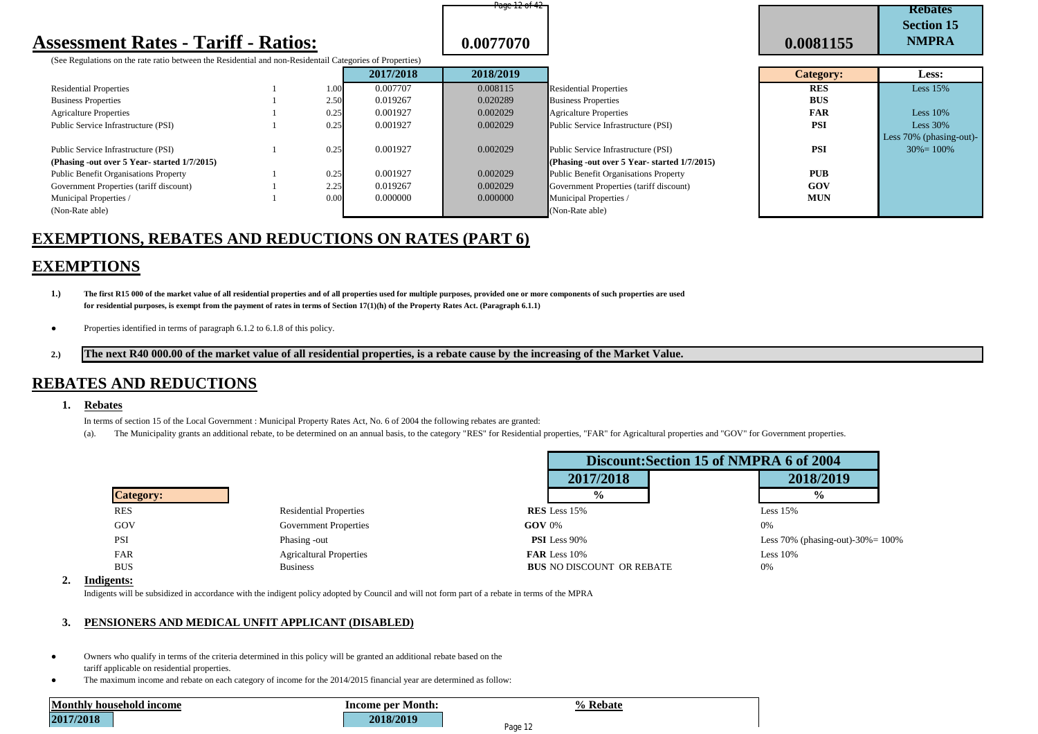# **Assessment Rates - Tariff - Ratios:**  $\begin{array}{|c|c|c|c|c|} \hline \textbf{0.0077070} & \textbf{0.0077070} \hline \end{array}$

(See Regulations on the rate ratio between the Residential and non-Residentail Categories of Properties)

|                                             |      | 2017/2018 | 2018/2019 |                                                  | Category:  | Less:            |
|---------------------------------------------|------|-----------|-----------|--------------------------------------------------|------------|------------------|
| <b>Residential Properties</b>               | 1.00 | 0.007707  | 0.008115  | <b>Residential Properties</b>                    | <b>RES</b> | <b>Less 15%</b>  |
| <b>Business Properties</b>                  | 2.50 | 0.019267  | 0.020289  | <b>Business Properties</b>                       | <b>BUS</b> |                  |
| <b>Agricalture Properties</b>               | 0.25 | 0.001927  | 0.002029  | Agricalture Properties                           | <b>FAR</b> | Less $10%$       |
| Public Service Infrastructure (PSI)         | 0.25 | 0.001927  | 0.002029  | Public Service Infrastructure (PSI)              | <b>PSI</b> | Less $30%$       |
|                                             |      |           |           |                                                  |            | Less 70% (phasin |
| Public Service Infrastructure (PSI)         | 0.25 | 0.001927  | 0.002029  | Public Service Infrastructure (PSI)              | <b>PSI</b> | $30\% = 100\%$   |
| (Phasing -out over 5 Year-started 1/7/2015) |      |           |           | (Phasing -out over $5$ Year-started $1/7/2015$ ) |            |                  |
| Public Benefit Organisations Property       | 0.25 | 0.001927  | 0.002029  | Public Benefit Organisations Property            | <b>PUB</b> |                  |
| Government Properties (tariff discount)     | 2.25 | 0.019267  | 0.002029  | Government Properties (tariff discount)          | GOV        |                  |
| Municipal Properties /                      | 0.00 | 0.000000  | 0.000000  | Municipal Properties /                           | <b>MUN</b> |                  |
| (Non-Rate able)                             |      |           |           | (Non-Rate able)                                  |            |                  |

|                | 0.0077070 |                                              | 0.0081155        | DUUUH 19<br><b>NMPRA</b> |
|----------------|-----------|----------------------------------------------|------------------|--------------------------|
| of Properties) |           |                                              |                  |                          |
| 2017/2018      | 2018/2019 |                                              | <b>Category:</b> | <b>Less:</b>             |
| 0.007707       | 0.008115  | <b>Residential Properties</b>                | <b>RES</b>       | Less $15%$               |
| 0.019267       | 0.020289  | <b>Business Properties</b>                   | <b>BUS</b>       |                          |
| 0.001927       | 0.002029  | <b>Agricalture Properties</b>                | <b>FAR</b>       | Less $10%$               |
| 0.001927       | 0.002029  | Public Service Infrastructure (PSI)          | <b>PSI</b>       | Less $30\%$              |
|                |           |                                              |                  | Less 70% (phasing-out)-  |
| 0.001927       | 0.002029  | Public Service Infrastructure (PSI)          | <b>PSI</b>       | $30\% = 100\%$           |
|                |           | (Phasing -out over 5 Year-started 1/7/2015)  |                  |                          |
| 0.001927       | 0.002029  | <b>Public Benefit Organisations Property</b> | <b>PUB</b>       |                          |
| 0.019267       | 0.002029  | Government Properties (tariff discount)      | GOV              |                          |
| 0.000000       | 0.000000  | Municipal Properties /                       | <b>MUN</b>       |                          |
|                |           | (Non-Rate able)                              |                  |                          |

**Rebates Section 15** 

# **EXEMPTIONS, REBATES AND REDUCTIONS ON RATES (PART 6)**

# **EXEMPTIONS**

**1.) The first R15 000 of the market value of all residential properties and of all properties used for multiple purposes, provided one or more components of such properties are used for residential purposes, is exempt from the payment of rates in terms of Section 17(1)(h) of the Property Rates Act. (Paragraph 6.1.1)** 

- **●** Properties identified in terms of paragraph 6.1.2 to 6.1.8 of this policy.
- **2.) The next R40 000.00 of the market value of all residential properties, is a rebate cause by the increasing of the Market Value.**

### **REBATES AND REDUCTIONS**

#### **1. Rebates**

In terms of section 15 of the Local Government : Municipal Property Rates Act, No. 6 of 2004 the following rebates are granted:

(a). The Municipality grants an additional rebate, to be determined on an annual basis, to the category "RES" for Residential properties, "FAR" for Agricaltural properties and "GOV" for Government properties.

|                  |                                |                                  | Discount: Section 15 of NMPRA 6 of 2004 |  |  |
|------------------|--------------------------------|----------------------------------|-----------------------------------------|--|--|
|                  |                                | 2017/2018                        | 2018/2019                               |  |  |
| <b>Category:</b> |                                | $\frac{6}{9}$                    | $\frac{0}{0}$                           |  |  |
| <b>RES</b>       | <b>Residential Properties</b>  | <b>RES</b> Less 15%              | Less $15%$                              |  |  |
| GOV              | <b>Government Properties</b>   | $GOV 0\%$                        | 0%                                      |  |  |
| <b>PSI</b>       | Phasing -out                   | <b>PSI</b> Less 90%              | Less 70% (phasing-out)-30% = $100\%$    |  |  |
| FAR              | <b>Agricaltural Properties</b> | FAR Less 10%                     | Less $10%$                              |  |  |
| <b>BUS</b>       | <b>Business</b>                | <b>BUS NO DISCOUNT OR REBATE</b> | 0%                                      |  |  |

Page 12 of 42

#### **2. Indigents:**

Indigents will be subsidized in accordance with the indigent policy adopted by Council and will not form part of a rebate in terms of the MPRA

### **3. PENSIONERS AND MEDICAL UNFIT APPLICANT (DISABLED)**

- Owners who qualify in terms of the criteria determined in this policy will be granted an additional rebate based on the tariff applicable on residential properties.
- The maximum income and rebate on each category of income for the 2014/2015 financial year are determined as follow:

|           | Monthly household income |
|-----------|--------------------------|
| 2017/2018 |                          |

**Month:**  $\%$  Rebate **2017/2018 2018/2019**



Page 12